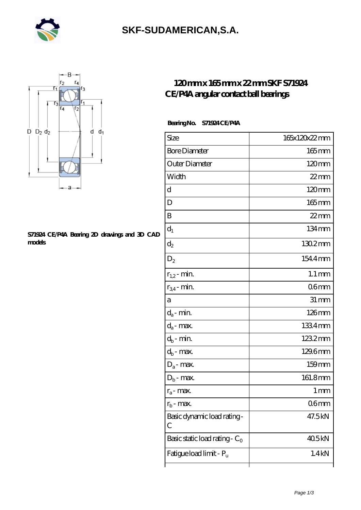

### **[SKF-SUDAMERICAN,S.A.](https://iblcheck.com)**



#### **[S71924 CE/P4A Bearing 2D drawings and 3D CAD](https://iblcheck.com/pic-574040.html) [models](https://iblcheck.com/pic-574040.html)**

### **[120 mm x 165 mm x 22 mm SKF S71924](https://iblcheck.com/skf-s71924-ce-p4a-bearing/) [CE/P4A angular contact ball bearings](https://iblcheck.com/skf-s71924-ce-p4a-bearing/)**

#### **Bearing No. S71924 CE/P4A**

| Size                             | 165x120x22mm        |
|----------------------------------|---------------------|
| <b>Bore Diameter</b>             | $165 \,\mathrm{mm}$ |
| Outer Diameter                   | $120 \text{mm}$     |
| Width                            | $22$ mm             |
| d                                | $120 \text{mm}$     |
| D                                | 165mm               |
| B                                | $22$ mm             |
| $d_1$                            | 134mm               |
| $\mathrm{d}_2$                   | $1302$ mm           |
| $D_2$                            | 1544mm              |
| $r_{1,2}$ - min.                 | $1.1 \,\mathrm{mm}$ |
| $r_{34}$ - min.                  | 06mm                |
| а                                | $31 \, \text{mm}$   |
| $d_a$ - min.                     | $126$ mm            |
| $d_{\boldsymbol{a}}$ - max.      | 1334mm              |
| $d_b$ - min.                     | 1232mm              |
| $d_b$ - max.                     | 129.6mm             |
| $D_a$ - max.                     | $159$ mm            |
| $D_b$ - max.                     | 161.8mm             |
| $r_a$ - max.                     | 1 <sub>mm</sub>     |
| $r_{\rm b}$ - max.               | 06 <sub>mm</sub>    |
| Basic dynamic load rating-<br>C  | 47.5kN              |
| Basic static load rating - $C_0$ | 405kN               |
| Fatigue load limit - Pu          | 1.4kN               |
|                                  |                     |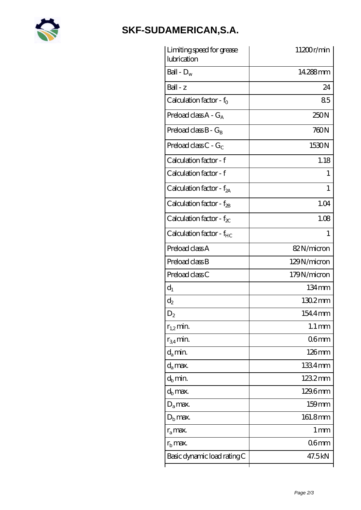

# **[SKF-SUDAMERICAN,S.A.](https://iblcheck.com)**

| Limiting speed for grease<br>lubrication | 11200r/min          |
|------------------------------------------|---------------------|
| Ball - $D_w$                             | 14.288mm            |
| $Ball - z$                               | 24                  |
| Calculation factor - $f_0$               | 85                  |
| Preload class $A - G_A$                  | 250N                |
| Preload class $B - G_B$                  | 760N                |
| Preload class C - $G_C$                  | 1530N               |
| Calculation factor - f                   | 1.18                |
| Calculation factor - f                   | 1                   |
| Calculation factor - $f_{2A}$            | 1                   |
| Calculation factor - $f_{2B}$            | 1.04                |
| Calculation factor - $f_{\chi}$          | 1.08                |
| Calculation factor - f <sub>HC</sub>     | 1                   |
| Preload class A                          | 82N/micron          |
| Preload class B                          | 129N/micron         |
| Preload class C                          | 179N/micron         |
| $d_1$                                    | $134 \,\mathrm{mm}$ |
| $\mathrm{d}_{2}$                         | 1302mm              |
| $\mathrm{D}_2$                           | 154.4mm             |
| $r_{1,2}$ min.                           | $1.1 \,\mathrm{mm}$ |
| $r_{34}$ min.                            | 06 <sub>mm</sub>    |
| $d_{a}$ min.                             | $126$ mm            |
| d <sub>a</sub> max.                      | 1334mm              |
| $d_h$ min.                               | 1232mm              |
| $d_h$ max.                               | 129.6mm             |
| $D_a$ max.                               | 159mm               |
| $D_{b}$ max.                             | 161.8mm             |
| $r_a$ max.                               | 1 mm                |
| $r_{\rm b}$ max.                         | 06 <sub>mm</sub>    |
| Basic dynamic load rating C              | 47.5kN              |
|                                          |                     |